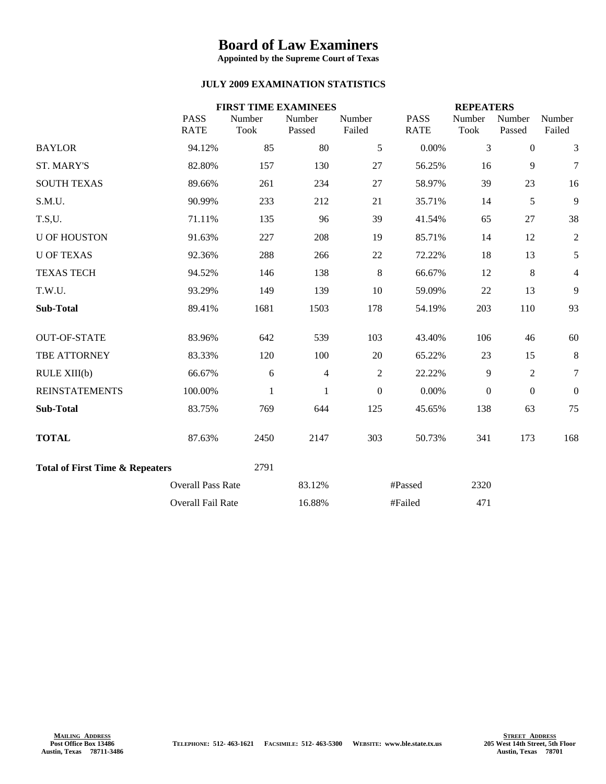## **Board of Law Examiners**

**Appointed by the Supreme Court of Texas**

## **JULY 2009 EXAMINATION STATISTICS**

|                                            |                            |                       | <b>FIRST TIME EXAMINEES</b> |                  |                            | <b>REPEATERS</b>      |                  |                  |
|--------------------------------------------|----------------------------|-----------------------|-----------------------------|------------------|----------------------------|-----------------------|------------------|------------------|
|                                            | <b>PASS</b><br><b>RATE</b> | Number<br><b>Took</b> | Number<br>Passed            | Number<br>Failed | <b>PASS</b><br><b>RATE</b> | Number<br><b>Took</b> | Number<br>Passed | Number<br>Failed |
| <b>BAYLOR</b>                              | 94.12%                     | 85                    | 80                          | 5                | 0.00%                      | $\overline{3}$        | $\mathbf{0}$     | 3                |
| <b>ST. MARY'S</b>                          | 82.80%                     | 157                   | 130                         | 27               | 56.25%                     | 16                    | 9                | $\boldsymbol{7}$ |
| <b>SOUTH TEXAS</b>                         | 89.66%                     | 261                   | 234                         | 27               | 58.97%                     | 39                    | 23               | 16               |
| S.M.U.                                     | 90.99%                     | 233                   | 212                         | 21               | 35.71%                     | 14                    | 5                | 9                |
| T.S,U.                                     | 71.11%                     | 135                   | 96                          | 39               | 41.54%                     | 65                    | 27               | 38               |
| <b>U OF HOUSTON</b>                        | 91.63%                     | 227                   | 208                         | 19               | 85.71%                     | 14                    | 12               | $\overline{2}$   |
| <b>U OF TEXAS</b>                          | 92.36%                     | 288                   | 266                         | 22               | 72.22%                     | 18                    | 13               | 5                |
| <b>TEXAS TECH</b>                          | 94.52%                     | 146                   | 138                         | 8                | 66.67%                     | 12                    | 8                | 4                |
| T.W.U.                                     | 93.29%                     | 149                   | 139                         | 10               | 59.09%                     | 22                    | 13               | 9                |
| <b>Sub-Total</b>                           | 89.41%                     | 1681                  | 1503                        | 178              | 54.19%                     | 203                   | 110              | 93               |
| <b>OUT-OF-STATE</b>                        | 83.96%                     | 642                   | 539                         | 103              | 43.40%                     | 106                   | 46               | 60               |
| TBE ATTORNEY                               | 83.33%                     | 120                   | 100                         | 20               | 65.22%                     | 23                    | 15               | 8                |
| RULE XIII(b)                               | 66.67%                     | 6                     | $\overline{4}$              | $\overline{2}$   | 22.22%                     | $\overline{9}$        | $\overline{2}$   | $\boldsymbol{7}$ |
| <b>REINSTATEMENTS</b>                      | 100.00%                    | $\mathbf{1}$          | $\mathbf{1}$                | $\boldsymbol{0}$ | 0.00%                      | $\boldsymbol{0}$      | $\boldsymbol{0}$ | $\boldsymbol{0}$ |
| <b>Sub-Total</b>                           | 83.75%                     | 769                   | 644                         | 125              | 45.65%                     | 138                   | 63               | 75               |
| <b>TOTAL</b>                               | 87.63%                     | 2450                  | 2147                        | 303              | 50.73%                     | 341                   | 173              | 168              |
| <b>Total of First Time &amp; Repeaters</b> |                            | 2791                  |                             |                  |                            |                       |                  |                  |
|                                            | <b>Overall Pass Rate</b>   |                       | 83.12%                      |                  | #Passed                    | 2320                  |                  |                  |
|                                            | Overall Fail Rate          |                       | 16.88%                      |                  | #Failed                    | 471                   |                  |                  |